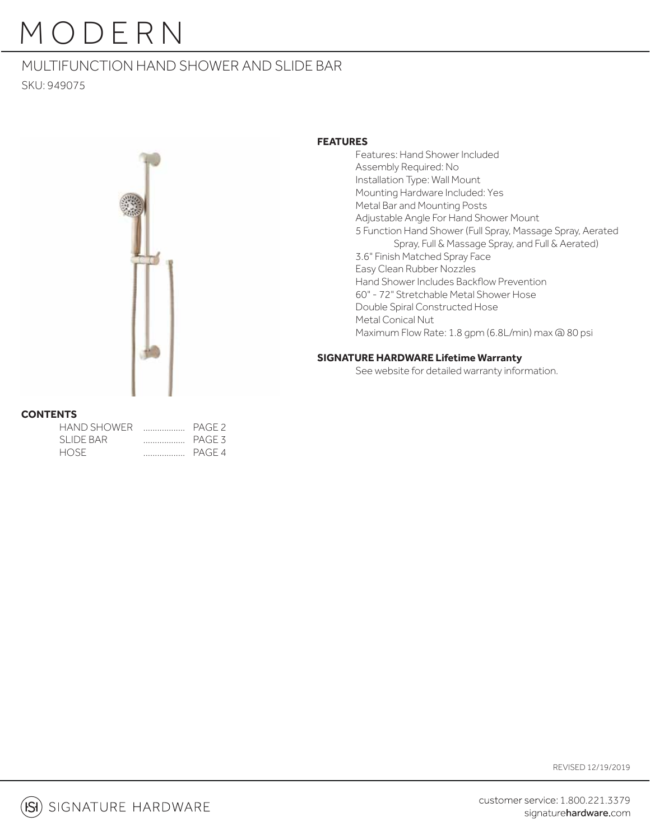## MULTIFUNCTION HAND SHOWER AND SLIDE BAR SKU: 949075



### **FEATURES**

 Features: Hand Shower Included Assembly Required: No Installation Type: Wall Mount Mounting Hardware Included: Yes Metal Bar and Mounting Posts Adjustable Angle For Hand Shower Mount 5 Function Hand Shower (Full Spray, Massage Spray, Aerated Spray, Full & Massage Spray, and Full & Aerated) 3.6" Finish Matched Spray Face Easy Clean Rubber Nozzles Hand Shower Includes Backflow Prevention 60" - 72" Stretchable Metal Shower Hose Double Spiral Constructed Hose Metal Conical Nut Maximum Flow Rate: 1.8 gpm (6.8L/min) max @ 80 psi

### **SIGNATURE HARDWARE Lifetime Warranty**

See website for detailed warranty information.

### **CONTENTS**

| HAND SHOWER |                                                                                                                                                                                                                                                                                                                                                                                                                                                                                        | PAGE <sub>2</sub> |
|-------------|----------------------------------------------------------------------------------------------------------------------------------------------------------------------------------------------------------------------------------------------------------------------------------------------------------------------------------------------------------------------------------------------------------------------------------------------------------------------------------------|-------------------|
| SLIDE BAR   | $\begin{array}{cccccccccc} \multicolumn{2}{c}{} & \multicolumn{2}{c}{} & \multicolumn{2}{c}{} & \multicolumn{2}{c}{} & \multicolumn{2}{c}{} & \multicolumn{2}{c}{} & \multicolumn{2}{c}{} & \multicolumn{2}{c}{} & \multicolumn{2}{c}{} & \multicolumn{2}{c}{} & \multicolumn{2}{c}{} & \multicolumn{2}{c}{} & \multicolumn{2}{c}{} & \multicolumn{2}{c}{} & \multicolumn{2}{c}{} & \multicolumn{2}{c}{} & \multicolumn{2}{c}{} & \multicolumn{2}{c}{} & \multicolumn{2}{c}{} & \mult$ | PAGE 3            |
| HOSE.       |                                                                                                                                                                                                                                                                                                                                                                                                                                                                                        | PAGE 4            |

REVISED 12/19/2019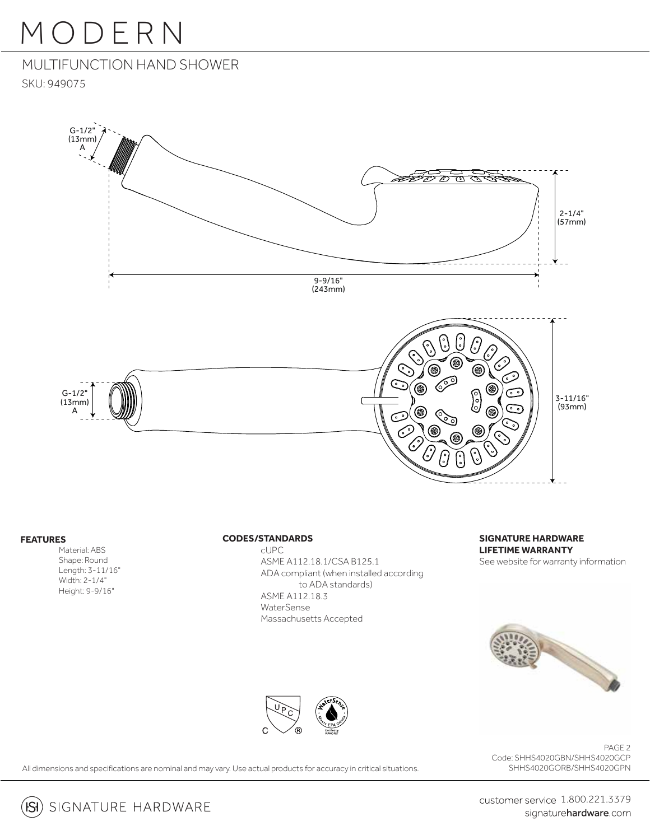# MULTIFUNCTION HAND SHOWER

SKU: 949075



### **FEATURES**

 Material: ABS Shape: Round Length: 3-11/16" Width: 2-1/4" Height: 9-9/16"

#### **CODES/STANDARDS**

 cUPC ASME A112.18.1/CSA B125.1 ADA compliant (when installed according to ADA standards) ASME A112.18.3 WaterSense Massachusetts Accepted

## **SIGNATURE HARDWARE LIFETIME WARRANTY**

See website for warranty information





PAGE 2 Code: SHHS4020GBN/SHHS4020GCP SHHS4020GORB/SHHS4020GPN

All dimensions and specifications are nominal and may vary. Use actual products for accuracy in critical situations.



customer service 1.800.221.3379 signaturehardware.com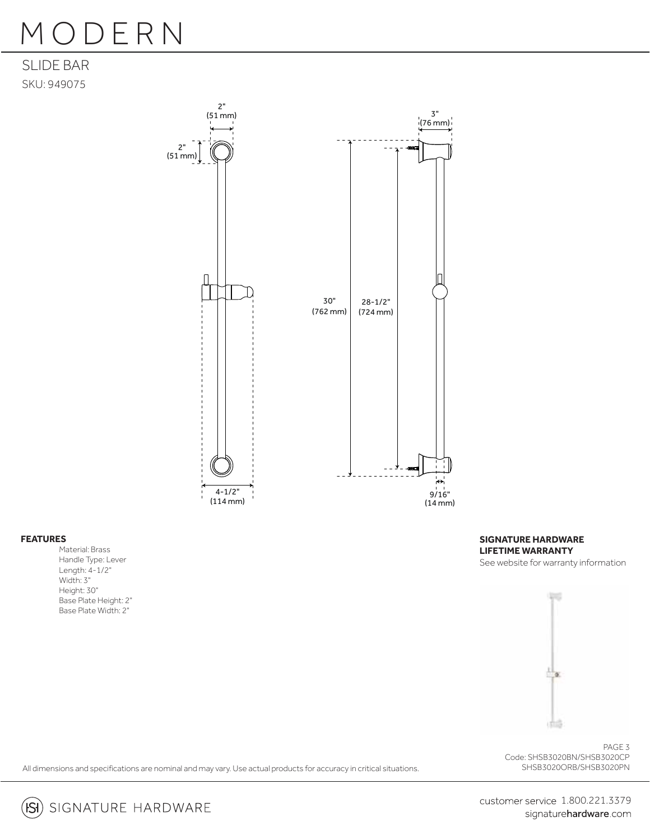## SLIDE BAR SKU: 949075



#### **FEATURES**

Material: Brass Handle Type: Lever Length: 4-1/2" Width: 3" Height: 30" Base Plate Height: 2" Base Plate Width: 2"

**SIGNATURE HARDWARE LIFETIME WARRANTY** See website for warranty information



PAGE 3 Code: SHSB3020BN/SHSB3020CP

All dimensions and specifications are nominal and may vary. Use actual products for accuracy in critical situations. SHSB3020ORB/SHSB3020PN



**(Si**) SIGNATURE HARDWARE

customer service 1.800.221.3379 signaturehardware.com